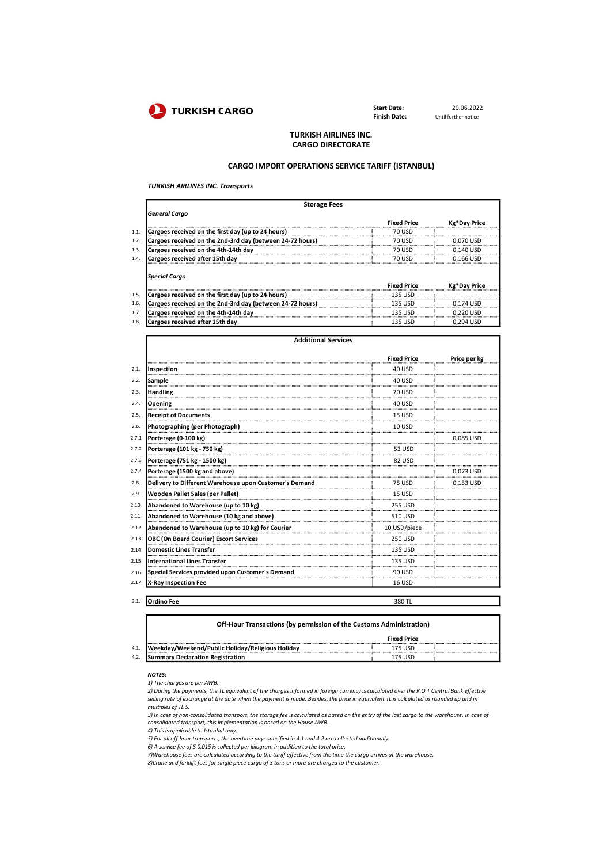

Finish Date:

Start Date: 20.06.2022<br>
Finish Date: Until further notice

## TURKISH AIRLINES INC. CARGO DIRECTORATE

### CARGO IMPORT OPERATIONS SERVICE TARIFF (ISTANBUL)

TURKISH AIRLINES INC. Transports

| <b>Storage Fees</b>                                       |                    |              |
|-----------------------------------------------------------|--------------------|--------------|
| <b>General Cargo</b>                                      |                    |              |
|                                                           | <b>Fixed Price</b> | Kg*Day Price |
| Cargoes received on the first day (up to 24 hours)        | 70 USD             |              |
| Cargoes received on the 2nd-3rd day (between 24-72 hours) | 70 U.S.D           | 0.070 USL    |
| Cargoes received on the 4th-14th day                      | 70 USD             | 0.140 USD    |
| Cargoes received after 15th day                           | 70 USD             | 0.166 USD    |
| <b>Special Cargo</b>                                      | <b>Fixed Price</b> | Kg*Day Price |
| Cargoes received on the first day (up to 24 hours)        | 135 USD            |              |
| Cargoes received on the 2nd-3rd day (between 24-72 hours) | 135 USD            | 0.174 USD    |
| Cargoes received on the 4th-14th day                      | 135 USD            | 0 220 USD    |
| Cargoes received after 15th day                           | 135 USD            | 0,294 USD    |

| <b>Additional Services</b>                             |                    |              |
|--------------------------------------------------------|--------------------|--------------|
|                                                        | <b>Fixed Price</b> | Price per kg |
| Inspection                                             | <b>40 USD</b>      |              |
| Sample                                                 | <b>40 USD</b>      |              |
| <b>Handling</b>                                        | <b>70 USD</b>      |              |
| Opening                                                | <b>40 USD</b>      |              |
| <b>Receipt of Documents</b>                            | <b>15 USD</b>      |              |
| Photographing (per Photograph)                         | <b>10 USD</b>      |              |
| Porterage (0-100 kg)                                   |                    | 0,085 USD    |
| Porterage (101 kg - 750 kg)                            | 53 USD             |              |
| Porterage (751 kg - 1500 kg)                           | 82 USD             |              |
| Porterage (1500 kg and above)                          |                    | 0,073 USD    |
| Delivery to Different Warehouse upon Customer's Demand | <b>75 USD</b>      | 0.153 USD    |
| Wooden Pallet Sales (per Pallet)                       | <b>15 USD</b>      |              |
| Abandoned to Warehouse (up to 10 kg)                   | 255 USD            |              |
| Abandoned to Warehouse (10 kg and above)               | 510 USD            |              |
| Abandoned to Warehouse (up to 10 kg) for Courier       | 10 USD/piece       |              |
| <b>OBC (On Board Courier) Escort Services</b>          | 250 USD            |              |
| <b>Domestic Lines Transfer</b>                         | <b>135 USD</b>     |              |
| <b>International Lines Transfer</b>                    | 135 USD            |              |
| Special Services provided upon Customer's Demand       | 90 USD             |              |
| X-Ray Inspection Fee                                   | 16 USD             |              |

|      | Off-Hour Transactions (by permission of the Customs Administration) |                    |  |
|------|---------------------------------------------------------------------|--------------------|--|
|      |                                                                     | <b>Fixed Price</b> |  |
| 4.1. | Weekday/Weekend/Public Holiday/Religious Holiday                    | 175 USD            |  |
| 4.2. | <b>Summary Declaration Registration</b>                             | 175 USD            |  |

NOTES: 1) The charges are per AWB.

2) During the payments, the TL equivalent of the charges informed in foreign currency is calculated over the R.O.T Central Bank effective selling rate of exchange at the date when the payment is made. Besides, the price in equivalent TL is calculated as rounded up and in multiples of TL 5.

3) In case of non-consolidated transport, the storage fee is calculated as based on the entry of the last cargo to the warehouse. In case of consolidated transport, this implementation is based on the House AWB.

4) This is applicable to Istanbul only.

5) For all off-hour transports, the overtime pays specified in 4.1 and 4.2 are collected additionally.

3.1. Ordino Fee 380 TL

6) A service fee of \$ 0,015 is collected per kilogram in addition to the total price.<br>7)Warehouse fees are calculated according to the tariff effective from the time the cargo arrives at the warehouse.<br>8)Crane and forklift